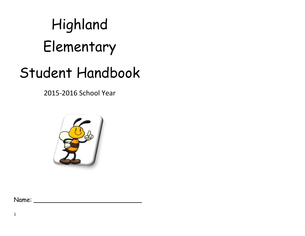# Highland Elementary

# Student Handbook

2015-2016 School Year



Name: \_\_\_\_\_\_\_\_\_\_\_\_\_\_\_\_\_\_\_\_\_\_\_\_\_\_\_\_

1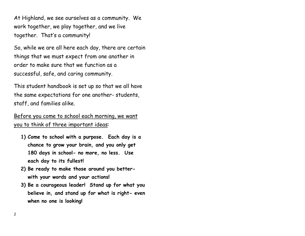At Highland, we see ourselves as a community. We work together, we play together, and we live together. That's a community!

So, while we are all here each day, there are certain things that we must expect from one another in order to make sure that we function as a successful, safe, and caring community.

This student handbook is set up so that we all have the same expectations for one another- students, staff, and families alike.

Before you come to school each morning, we want you to think of three important ideas:

- **1) Come to school with a purpose. Each day is a chance to grow your brain, and you only get 180 days in school- no more, no less. Use each day to its fullest!**
- **2) Be ready to make those around you betterwith your words and your actions!**
- **3) Be a courageous leader! Stand up for what you believe in, and stand up for what is right- even when no one is looking!**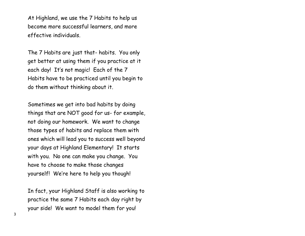At Highland, we use the 7 Habits to help us become more successful learners, and more effective individuals.

The 7 Habits are just that- habits. You only get better at using them if you practice at it each day! It's not magic! Each of the 7 Habits have to be practiced until you begin to do them without thinking about it.

Sometimes we get into bad habits by doing things that are NOT good for us- for example, not doing our homework. We want to change those types of habits and replace them with ones which will lead you to success well beyond your days at Highland Elementary! It starts with you. No one can make you change. You have to choose to make those changes yourself! We're here to help you though!

In fact, your Highland Staff is also working to practice the same 7 Habits each day right by your side! We want to model them for you!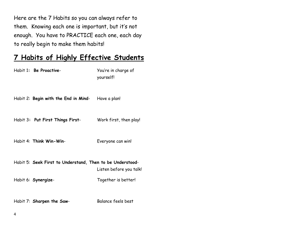Here are the 7 Habits so you can always refer to them. Knowing each one is important, but it's not enough. You have to PRACTICE each one, each day to really begin to make them habits!

# **7 Habits of Highly Effective Students**

| Habit 1: Be Proactive-                                    | You're in charge of<br>yourself! |
|-----------------------------------------------------------|----------------------------------|
| Habit 2: Begin with the End in Mind- Have a plan!         |                                  |
| Habit 3: Put First Things First-                          | Work first, then play!           |
| Habit 4: Think Win-Win-                                   | Everyone can win!                |
| Habit 5: Seek First to Understand, Then to be Understood- | Listen before you talk!          |
| Habit 6: Synergize-                                       | Together is better!              |
| Habit 7: Sharpen the Saw-                                 | Balance feels best               |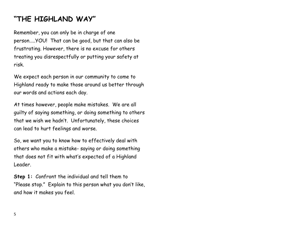# **"THE HIGHLAND WAY"**

Remember, you can only be in charge of one person…..YOU! That can be good, but that can also be frustrating. However, there is no excuse for others treating you disrespectfully or putting your safety at risk.

We expect each person in our community to come to Highland ready to make those around us better through our words and actions each day.

At times however, people make mistakes. We are all guilty of saying something, or doing something to others that we wish we hadn't. Unfortunately, these choices can lead to hurt feelings and worse.

So, we want you to know how to effectively deal with others who make a mistake- saying or doing something that does not fit with what's expected of a Highland Leader.

**Step 1:** Confront the individual and tell them to "Please stop." Explain to this person what you don't like, and how it makes you feel.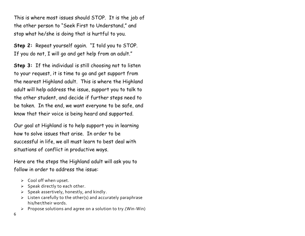This is where most issues should STOP. It is the job of the other person to "Seek First to Understand," and stop what he/she is doing that is hurtful to you.

**Step 2:** Repeat yourself again. "I told you to STOP. If you do not, I will go and get help from an adult."

**Step 3:** If the individual is still choosing not to listen to your request, it is time to go and get support from the nearest Highland adult. This is where the Highland adult will help address the issue, support you to talk to the other student, and decide if further steps need to be taken. In the end, we want everyone to be safe, and know that their voice is being heard and supported.

Our goal at Highland is to help support you in learning how to solve issues that arise. In order to be successful in life, we all must learn to best deal with situations of conflict in productive ways.

Here are the steps the Highland adult will ask you to follow in order to address the issue:

- $\triangleright$  Cool off when upset.
- $\triangleright$  Speak directly to each other.
- $\triangleright$  Speak assertively, honestly, and kindly.
- $\triangleright$  Listen carefully to the other(s) and accurately paraphrase his/her/their words.
- $\triangleright$  Propose solutions and agree on a solution to try.(Win-Win)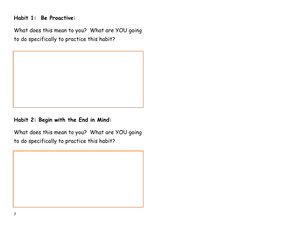Habit 1: Be Proactive:

What does this mean to you? What are YOU going to do specifically to practice this habit?



Habit 2: Begin with the End in Mind:

What does this mean to you? What are YOU going to do specifically to practice this habit?

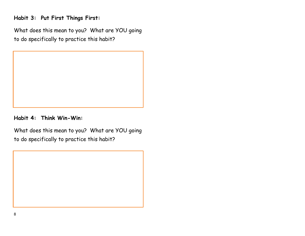## Habit 3: Put First Things First:

What does this mean to you? What are YOU going to do specifically to practice this habit?



Habit 4: Think Win-Win:

What does this mean to you? What are YOU going to do specifically to practice this habit?

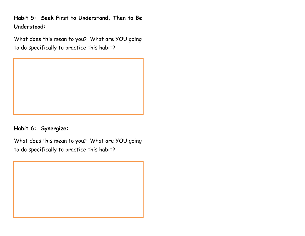**Habit 5: Seek First to Understand, Then to Be Understood:**

What does this mean to you? What are YOU going to do specifically to practice this habit?



**Habit 6: Synergize:**

What does this mean to you? What are YOU going to do specifically to practice this habit?

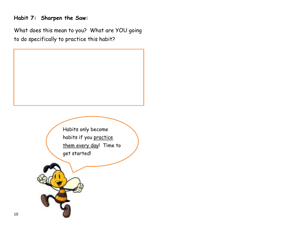#### **Habit 7: Sharpen the Saw:**

What does this mean to you? What are YOU going to do specifically to practice this habit?

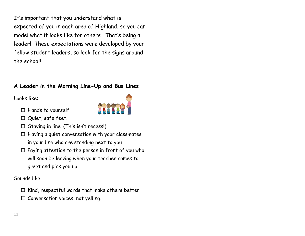It's important that you understand what is expected of you in each area of Highland, so you can model what it looks like for others. That's being a leader! These expectations were developed by your fellow student leaders, so look for the signs around the school!

#### **A Leader in the Morning Line-Up and Bus Lines**

Looks like:

- $\Box$  Hands to yourself!
- Quiet, safe feet.
- $\Box$  Staying in line. (This isn't recess!)
- $\Box$  Having a quiet conversation with your classmates in your line who are standing next to you.
- $\Box$  Paying attention to the person in front of you who will soon be leaving when your teacher comes to greet and pick you up.

Sounds like:

- $\Box$  Kind, respectful words that make others better.
- $\Box$  Conversation voices, not yelling.

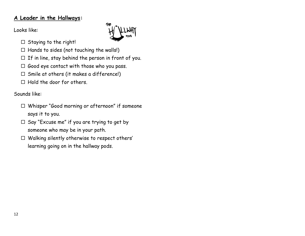#### **A Leader in the Hallways:**

Looks like:

- $\Box$  Staying to the right!
- $\Box$  Hands to sides (not touching the walls!)
- $\Box$  If in line, stay behind the person in front of you.
- $\Box$  Good eye contact with those who you pass.
- $\Box$  Smile at others (it makes a difference!)
- $\Box$  Hold the door for others.

Sounds like:

- Whisper "Good morning or afternoon" if someone says it to you.
- $\Box$  Say "Excuse me" if you are trying to get by someone who may be in your path.
- $\Box$  Walking silently otherwise to respect others' learning going on in the hallway pods.

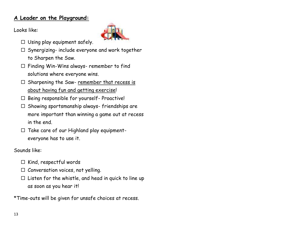#### **A Leader on the Playground:**

Looks like:



- $\Box$  Using play equipment safely.
- $\Box$  Synergizing- include everyone and work together to Sharpen the Saw.
- $\Box$  Finding Win-Wins always- remember to find solutions where everyone wins.
- $\square$  Sharpening the Saw- remember that recess is about having fun and getting exercise!
- $\Box$  Being responsible for yourself- Proactive!
- $\Box$  Showing sportsmanship always-friendships are more important than winning a game out at recess in the end.
- $\Box$  Take care of our Highland play equipmenteveryone has to use it.

Sounds like:

- $\Box$  Kind, respectful words
- $\Box$  Conversation voices, not yelling.
- $\Box$  Listen for the whistle, and head in quick to line up as soon as you hear it!

\*Time-outs will be given for unsafe choices at recess.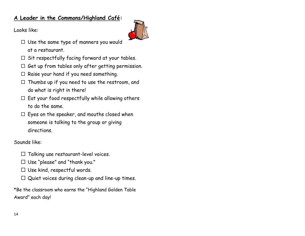#### **A Leader in the Commons/Highland Café:**

Looks like:



- $\Box$  Use the same type of manners you would at a restaurant.
- $\Box$  Sit respectfully facing forward at your tables.
- $\Box$  Get up from tables only after getting permission.
- $\Box$  Raise your hand if you need something.
- $\Box$  Thumbs up if you need to use the restroom, and do what is right in there!
- $\Box$  Eat your food respectfully while allowing others to do the same.
- $\Box$  Eyes on the speaker, and mouths closed when someone is talking to the group or giving directions.

Sounds like:

- $\Box$  Talking use restaurant-level voices.
- $\Box$  Use "please" and "thank you."
- $\square$  Use kind, respectful words.
- $\square$  Quiet voices during clean-up and line-up times.

\*Be the classroom who earns the "Highland Golden Table Award" each day!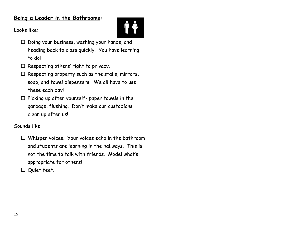#### **Being a Leader in the Bathrooms:**



Looks like:

- $\square$  Doing your business, washing your hands, and heading back to class quickly. You have learning to do!
- $\Box$  Respecting others' right to privacy.
- $\Box$  Respecting property such as the stalls, mirrors, soap, and towel dispensers. We all have to use these each day!
- $\Box$  Picking up after yourself- paper towels in the garbage, flushing. Don't make our custodians clean up after us!

Sounds like:

 $\Box$  Whisper voices. Your voices echo in the bathroom and students are learning in the hallways. This is not the time to talk with friends. Model what's appropriate for others!

□ Quiet feet.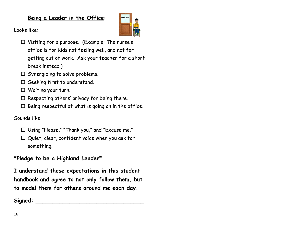#### **Being a Leader in the Office**:



Looks like:

- $\Box$  Visiting for a purpose. (Example: The nurse's office is for kids not feeling well, and not for getting out of work. Ask your teacher for a short break instead!)
- $\Box$  Synergizing to solve problems.
- $\Box$  Seeking first to understand.
- □ Waiting your turn.
- $\Box$  Respecting others' privacy for being there.
- $\Box$  Being respectful of what is going on in the office.

Sounds like:

- $\square$  Using "Please," "Thank you," and "Excuse me."
- $\square$  Quiet, clear, confident voice when you ask for something.

#### **\*Pledge to be a Highland Leader\***

**I understand these expectations in this student handbook and agree to not only follow them, but to model them for others around me each day.**

**Signed: \_\_\_\_\_\_\_\_\_\_\_\_\_\_\_\_\_\_\_\_\_\_\_\_\_\_\_\_\_\_\_\_**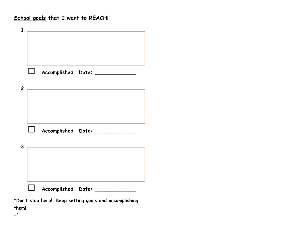School goals that I want to REACH!

| $\mathbf{1}$ .                                                        |
|-----------------------------------------------------------------------|
|                                                                       |
|                                                                       |
|                                                                       |
|                                                                       |
| Accomplished! Date: ______________                                    |
| 2.<br>the control of the control of the control of the control of the |
|                                                                       |
|                                                                       |
|                                                                       |
|                                                                       |
| Accomplished! Date: ______________                                    |
|                                                                       |
| 3.<br>the control of the control of the control of the control of     |
|                                                                       |
|                                                                       |
|                                                                       |
| Accomplished! Date: _____________                                     |
|                                                                       |
| *Don't stop here! Keep setting goals and accomplishing                |

them!

17